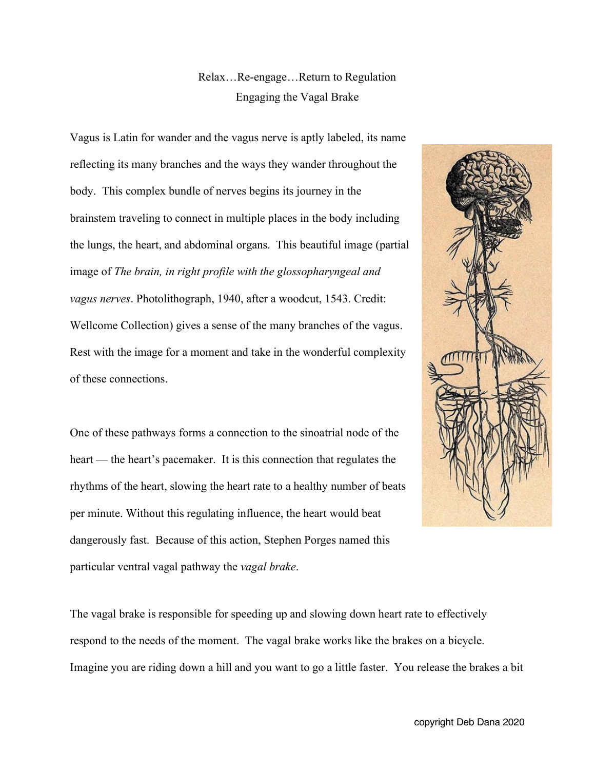Relax…Re-engage…Return to Regulation Engaging the Vagal Brake

Vagus is Latin for wander and the vagus nerve is aptly labeled, its name reflecting its many branches and the ways they wander throughout the body. This complex bundle of nerves begins its journey in the brainstem traveling to connect in multiple places in the body including the lungs, the heart, and abdominal organs. This beautiful image (partial image of *The brain, in right profile with the glossopharyngeal and vagus nerves*. Photolithograph, 1940, after a woodcut, 1543. Credit: Wellcome Collection) gives a sense of the many branches of the vagus. Rest with the image for a moment and take in the wonderful complexity of these connections.

One of these pathways forms a connection to the sinoatrial node of the heart — the heart's pacemaker. It is this connection that regulates the rhythms of the heart, slowing the heart rate to a healthy number of beats per minute. Without this regulating influence, the heart would beat dangerously fast. Because of this action, Stephen Porges named this particular ventral vagal pathway the *vagal brake*.



The vagal brake is responsible for speeding up and slowing down heart rate to effectively respond to the needs of the moment. The vagal brake works like the brakes on a bicycle. Imagine you are riding down a hill and you want to go a little faster. You release the brakes a bit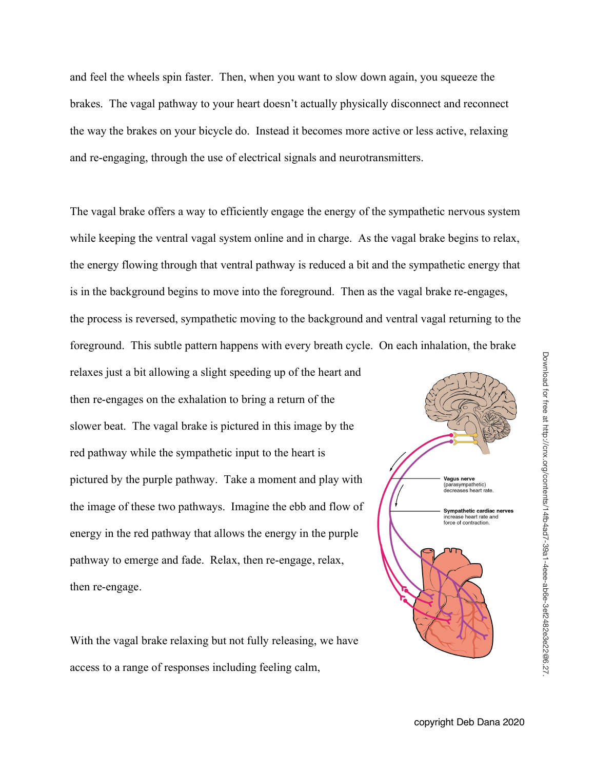and feel the wheels spin faster. Then, when you want to slow down again, you squeeze the brakes. The vagal pathway to your heart doesn't actually physically disconnect and reconnect the way the brakes on your bicycle do. Instead it becomes more active or less active, relaxing and re-engaging, through the use of electrical signals and neurotransmitters.

The vagal brake offers a way to efficiently engage the energy of the sympathetic nervous system while keeping the ventral vagal system online and in charge. As the vagal brake begins to relax, the energy flowing through that ventral pathway is reduced a bit and the sympathetic energy that is in the background begins to move into the foreground. Then as the vagal brake re-engages, the process is reversed, sympathetic moving to the background and ventral vagal returning to the foreground. This subtle pattern happens with every breath cycle. On each inhalation, the brake

relaxes just a bit allowing a slight speeding up of the heart and then re-engages on the exhalation to bring a return of the slower beat. The vagal brake is pictured in this image by the red pathway while the sympathetic input to the heart is pictured by the purple pathway. Take a moment and play with the image of these two pathways. Imagine the ebb and flow of energy in the red pathway that allows the energy in the purple pathway to emerge and fade. Relax, then re-engage, relax, then re-engage.

With the vagal brake relaxing but not fully releasing, we have access to a range of responses including feeling calm,



Download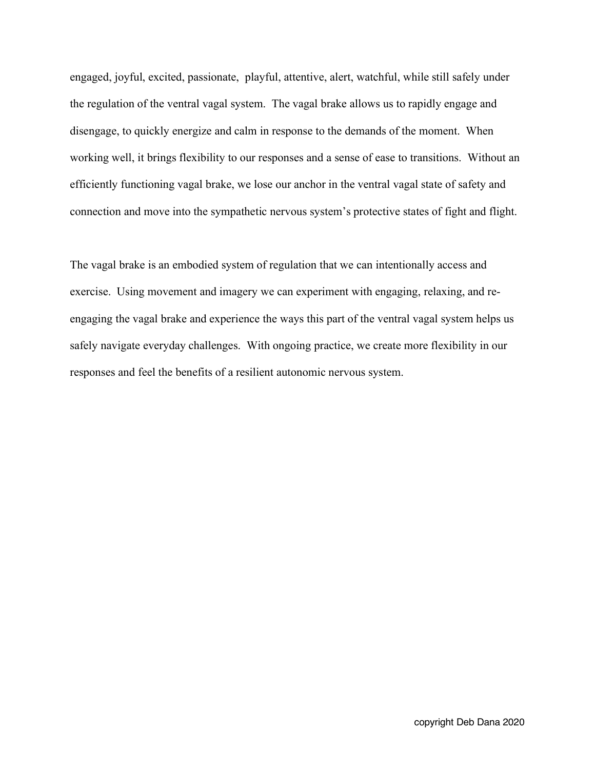engaged, joyful, excited, passionate, playful, attentive, alert, watchful, while still safely under the regulation of the ventral vagal system. The vagal brake allows us to rapidly engage and disengage, to quickly energize and calm in response to the demands of the moment. When working well, it brings flexibility to our responses and a sense of ease to transitions. Without an efficiently functioning vagal brake, we lose our anchor in the ventral vagal state of safety and connection and move into the sympathetic nervous system's protective states of fight and flight.

The vagal brake is an embodied system of regulation that we can intentionally access and exercise. Using movement and imagery we can experiment with engaging, relaxing, and reengaging the vagal brake and experience the ways this part of the ventral vagal system helps us safely navigate everyday challenges. With ongoing practice, we create more flexibility in our responses and feel the benefits of a resilient autonomic nervous system.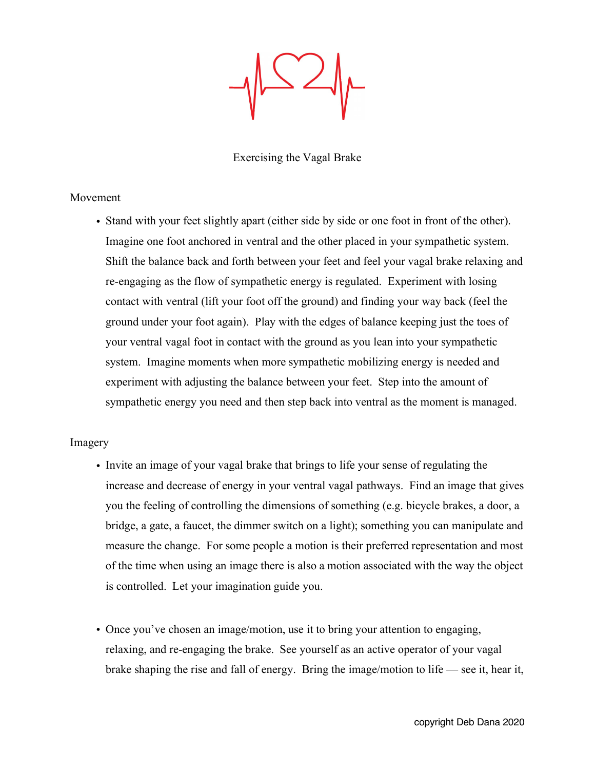Exercising the Vagal Brake

## Movement

• Stand with your feet slightly apart (either side by side or one foot in front of the other). Imagine one foot anchored in ventral and the other placed in your sympathetic system. Shift the balance back and forth between your feet and feel your vagal brake relaxing and re-engaging as the flow of sympathetic energy is regulated. Experiment with losing contact with ventral (lift your foot off the ground) and finding your way back (feel the ground under your foot again). Play with the edges of balance keeping just the toes of your ventral vagal foot in contact with the ground as you lean into your sympathetic system. Imagine moments when more sympathetic mobilizing energy is needed and experiment with adjusting the balance between your feet. Step into the amount of sympathetic energy you need and then step back into ventral as the moment is managed.

## Imagery

- Invite an image of your vagal brake that brings to life your sense of regulating the increase and decrease of energy in your ventral vagal pathways. Find an image that gives you the feeling of controlling the dimensions of something (e.g. bicycle brakes, a door, a bridge, a gate, a faucet, the dimmer switch on a light); something you can manipulate and measure the change. For some people a motion is their preferred representation and most of the time when using an image there is also a motion associated with the way the object is controlled. Let your imagination guide you.
- Once you've chosen an image/motion, use it to bring your attention to engaging, relaxing, and re-engaging the brake. See yourself as an active operator of your vagal brake shaping the rise and fall of energy. Bring the image/motion to life — see it, hear it,